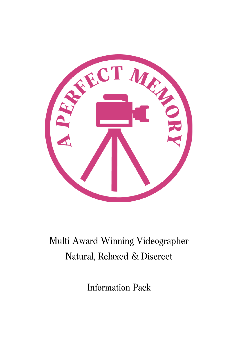

# Multi Award Winning Videographer Natural, Relaxed & Discreet

**Information Pack**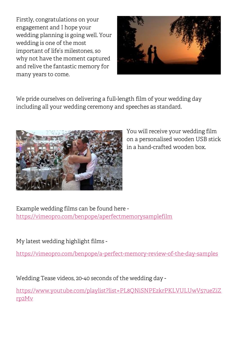Firstly, congratulations on your engagement and I hope your wedding planning is going well. Your wedding is one of the most important of life's milestones, so why not have the moment captured and relive the fantastic memory for many years to come.



We pride ourselves on delivering a full-length film of your wedding day including all your wedding ceremony and speeches as standard.



You will receive your wedding film on a personalised wooden USB stick in a hand-crafted wooden box.

Example wedding films can be found here <https://vimeopro.com/benpope/aperfectmemorysamplefilm>

### My latest wedding highlight films -

<https://vimeopro.com/benpope/a-perfect-memory-review-of-the-day-samples>

Wedding Tease videos, 20-40 seconds of the wedding day -

[https://www.youtube.com/playlist?list=PL8QNiSNPEzkrPKLVULUwV57ueZiZ](https://www.youtube.com/playlist?list=PL8QNiSNPEzkrPKLVULUwV57ueZiZrp2Mv) [rp2Mv](https://www.youtube.com/playlist?list=PL8QNiSNPEzkrPKLVULUwV57ueZiZrp2Mv)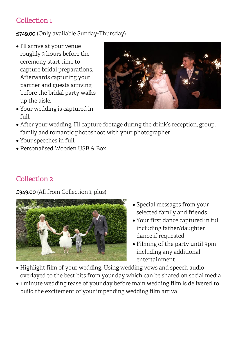## Collection 1

### £749.00 (Only available Sunday-Thursday)

- I'll arrive at your venue roughly 3 hours before the ceremony start time to capture bridal preparations. Afterwards capturing your partner and guests arriving before the bridal party walks up the aisle.
- Your wedding is captured in full.



- After your wedding, I'll capture footage during the drink's reception, group, family and romantic photoshoot with your photographer
- Your speeches in full.
- Personalised Wooden USB & Box

# Collection 2

£949.00 (All from Collection 1, plus)



- Special messages from your selected family and friends
- Your first dance captured in full including father/daughter dance if requested
- Filming of the party until 9pm including any additional entertainment
- Highlight film of your wedding. Using wedding vows and speech audio overlayed to the best bits from your day which can be shared on social media
- 1 minute wedding tease of your day before main wedding film is delivered to build the excitement of your impending wedding film arrival